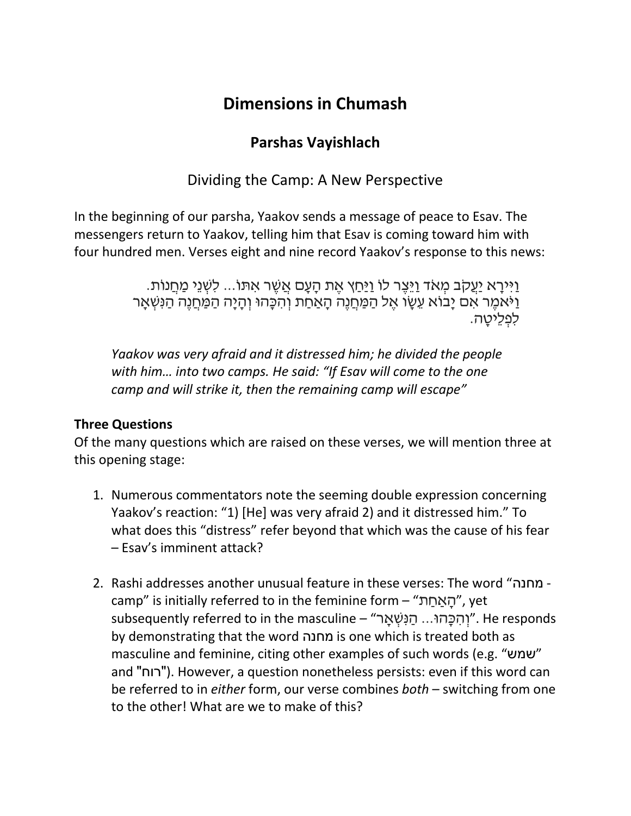# **Dimensions in Chumash**

## **Parshas Vayishlach**

Dividing the Camp: A New Perspective

In the beginning of our parsha, Yaakov sends a message of peace to Esav. The messengers return to Yaakov, telling him that Esav is coming toward him with four hundred men. Verses eight and nine record Yaakov's response to this news:

> וַיִּירַא יַעֲקֹב מְאֹד וַיֵּצֶר לוֹ וַיַּחַץ אֶת הַעֲם אֲשֶׁר אִתּוֹ... לִשְׁנֵי מַחֲנוֹת. וַיֹּאמֶר אִם יָבוֹא עֵשֶׂו אֵל הַמַּחֲנֵה הָאַחַת וְהִכָּהוּ וְהָיָה הַמַּחֲנֵה הַנִּשְׁאָר לפליטה.

*Yaakov was very afraid and it distressed him; he divided the people with him… into two camps. He said: "If Esav will come to the one camp and will strike it, then the remaining camp will escape"*

## **Three Questions**

Of the many questions which are raised on these verses, we will mention three at this opening stage:

- 1. Numerous commentators note the seeming double expression concerning Yaakov's reaction: "1) [He] was very afraid 2) and it distressed him." To what does this "distress" refer beyond that which was the cause of his fear – Esav's imminent attack?
- 2. Rashi addresses another unusual feature in these verses: The word "מחנה camp" is initially referred to in the feminine form – "ת ַאחַ ָה", yet responds ."וְהֶכָּהוּ... הַנִּשָׁאַר" – subsequently referred to in the masculine by demonstrating that the word מחנה is one which is treated both as masculine and feminine, citing other examples of such words (e.g. "שמש " and "רוח(". However, a question nonetheless persists: even if this word can be referred to in *either* form, our verse combines *both* – switching from one to the other! What are we to make of this?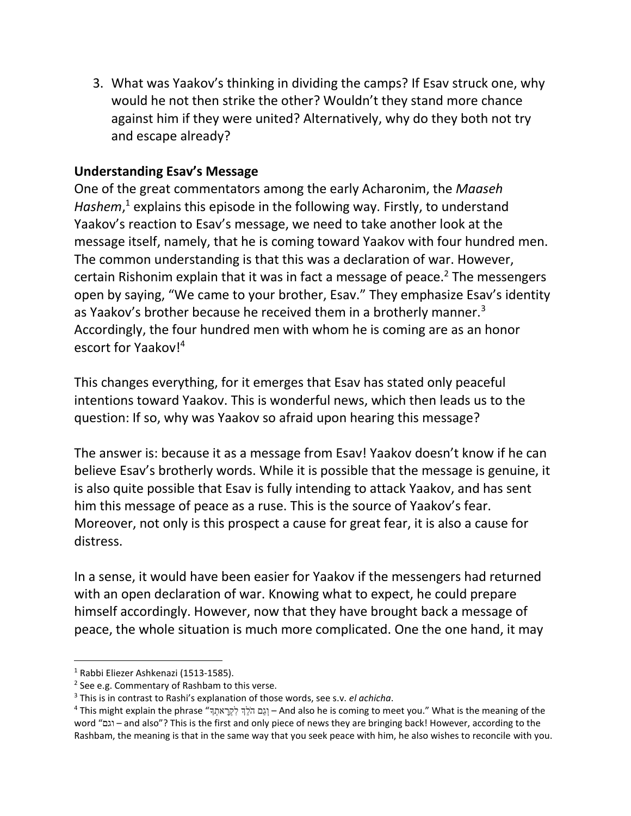3. What was Yaakov's thinking in dividing the camps? If Esav struck one, why would he not then strike the other? Wouldn't they stand more chance against him if they were united? Alternatively, why do they both not try and escape already?

#### **Understanding Esav's Message**

One of the great commentators among the early Acharonim, the *Maaseh*  Hashem,<sup>1</sup> explains this episode in the following way. Firstly, to understand Yaakov's reaction to Esav's message, we need to take another look at the message itself, namely, that he is coming toward Yaakov with four hundred men. The common understanding is that this was a declaration of war. However, certain Rishonim explain that it was in fact a message of peace.<sup>2</sup> The messengers open by saying, "We came to your brother, Esav." They emphasize Esav's identity as Yaakov's brother because he received them in a brotherly manner.<sup>3</sup> Accordingly, the four hundred men with whom he is coming are as an honor escort for Yaakov!<sup>4</sup>

This changes everything, for it emerges that Esav has stated only peaceful intentions toward Yaakov. This is wonderful news, which then leads us to the question: If so, why was Yaakov so afraid upon hearing this message?

The answer is: because it as a message from Esav! Yaakov doesn't know if he can believe Esav's brotherly words. While it is possible that the message is genuine, it is also quite possible that Esav is fully intending to attack Yaakov, and has sent him this message of peace as a ruse. This is the source of Yaakov's fear. Moreover, not only is this prospect a cause for great fear, it is also a cause for distress.

In a sense, it would have been easier for Yaakov if the messengers had returned with an open declaration of war. Knowing what to expect, he could prepare himself accordingly. However, now that they have brought back a message of peace, the whole situation is much more complicated. One the one hand, it may

 $\overline{a}$ 

<sup>1</sup> Rabbi Eliezer Ashkenazi (1513-1585).

<sup>&</sup>lt;sup>2</sup> See e.g. Commentary of Rashbam to this verse.

<sup>3</sup> This is in contrast to Rashi's explanation of those words, see s.v. *el achicha*.

<sup>4</sup> This might explain the phrase "ךְָאת ָרְקִל ךְֵלֹ ה םַגְו – And also he is coming to meet you." What is the meaning of the word "וגם – and also"? This is the first and only piece of news they are bringing back! However, according to the Rashbam, the meaning is that in the same way that you seek peace with him, he also wishes to reconcile with you.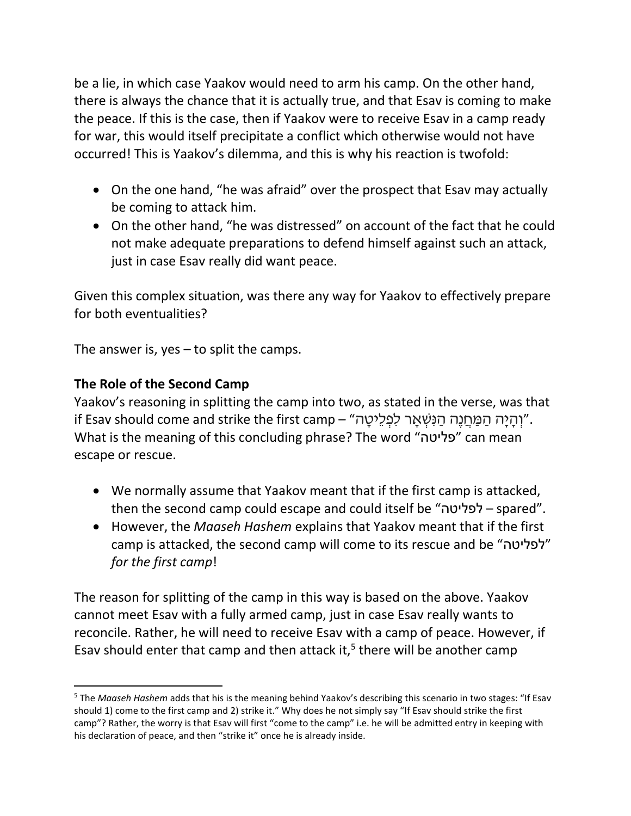be a lie, in which case Yaakov would need to arm his camp. On the other hand, there is always the chance that it is actually true, and that Esav is coming to make the peace. If this is the case, then if Yaakov were to receive Esav in a camp ready for war, this would itself precipitate a conflict which otherwise would not have occurred! This is Yaakov's dilemma, and this is why his reaction is twofold:

- On the one hand, "he was afraid" over the prospect that Esav may actually be coming to attack him.
- On the other hand, "he was distressed" on account of the fact that he could not make adequate preparations to defend himself against such an attack, just in case Esav really did want peace.

Given this complex situation, was there any way for Yaakov to effectively prepare for both eventualities?

The answer is, yes – to split the camps.

### **The Role of the Second Camp**

 $\overline{a}$ 

Yaakov's reasoning in splitting the camp into two, as stated in the verse, was that וֹרְהָיָה הַמַּחֲנֶה הַנִּשְׁאָר לִפְלֵיטֶה " if Esav should come and strike the first camp – " What is the meaning of this concluding phrase? The word "פליטה "can mean escape or rescue.

- We normally assume that Yaakov meant that if the first camp is attacked, then the second camp could escape and could itself be "לפליטה – spared".
- However, the *Maaseh Hashem* explains that Yaakov meant that if the first camp is attacked, the second camp will come to its rescue and be "לפליטה " *for the first camp*!

The reason for splitting of the camp in this way is based on the above. Yaakov cannot meet Esav with a fully armed camp, just in case Esav really wants to reconcile. Rather, he will need to receive Esav with a camp of peace. However, if Esav should enter that camp and then attack it, $5$  there will be another camp

<sup>5</sup> The *Maaseh Hashem* adds that his is the meaning behind Yaakov's describing this scenario in two stages: "If Esav should 1) come to the first camp and 2) strike it." Why does he not simply say "If Esav should strike the first camp"? Rather, the worry is that Esav will first "come to the camp" i.e. he will be admitted entry in keeping with his declaration of peace, and then "strike it" once he is already inside.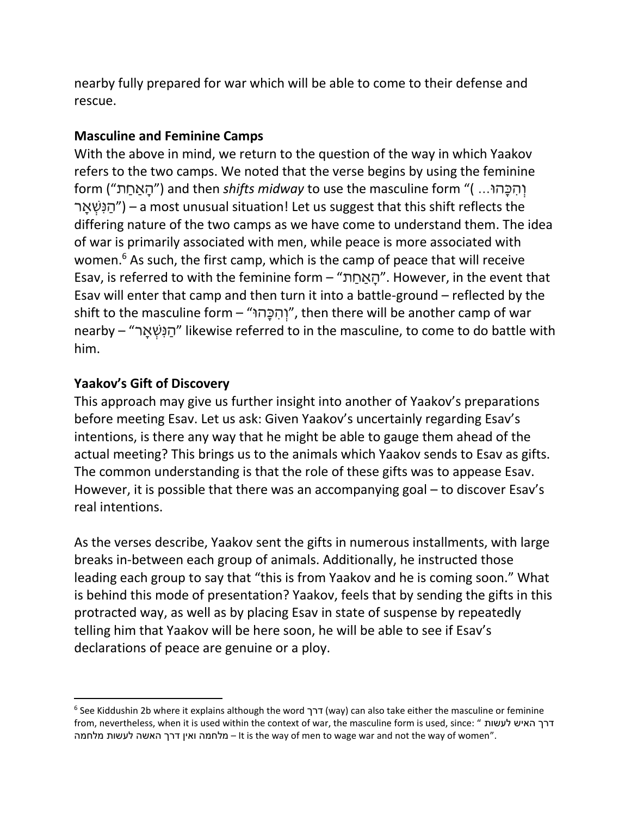nearby fully prepared for war which will be able to come to their defense and rescue.

#### **Masculine and Feminine Camps**

With the above in mind, we return to the question of the way in which Yaakov refers to the two camps. We noted that the verse begins by using the feminine form ("<u>האחת")</u> and then *shifts midway* to use the masculine form "( ... ארָ ְשִּנ ַה – ("a most unusual situation! Let us suggest that this shift reflects the differing nature of the two camps as we have come to understand them. The idea of war is primarily associated with men, while peace is more associated with women. <sup>6</sup> As such, the first camp, which is the camp of peace that will receive Esav, is referred to with the feminine form – "ת ַאחַ ָה". However, in the event that Esav will enter that camp and then turn it into a battle-ground – reflected by the shift to the masculine form – "וּהָכ ִּה ְו", then there will be another camp of war nearby – "הַנְּשָׁאֲר" likewise referred to in the masculine, to come to do battle with him.

#### **Yaakov's Gift of Discovery**

 $\overline{\phantom{a}}$ 

This approach may give us further insight into another of Yaakov's preparations before meeting Esav. Let us ask: Given Yaakov's uncertainly regarding Esav's intentions, is there any way that he might be able to gauge them ahead of the actual meeting? This brings us to the animals which Yaakov sends to Esav as gifts. The common understanding is that the role of these gifts was to appease Esav. However, it is possible that there was an accompanying goal – to discover Esav's real intentions.

As the verses describe, Yaakov sent the gifts in numerous installments, with large breaks in-between each group of animals. Additionally, he instructed those leading each group to say that "this is from Yaakov and he is coming soon." What is behind this mode of presentation? Yaakov, feels that by sending the gifts in this protracted way, as well as by placing Esav in state of suspense by repeatedly telling him that Yaakov will be here soon, he will be able to see if Esav's declarations of peace are genuine or a ploy.

<sup>6</sup> See Kiddushin 2b where it explains although the word דרך) way) can also take either the masculine or feminine from, nevertheless, when it is used within the context of war, the masculine form is used, since: " לעשות האיש דרך מלחמה לעשות האשה דרך ואין מלחמה – It is the way of men to wage war and not the way of women".